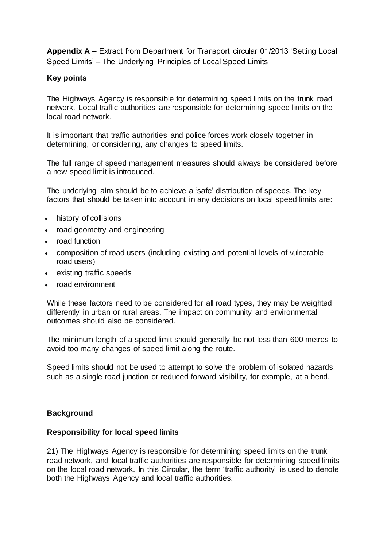**Appendix A –** Extract from Department for Transport circular 01/2013 'Setting Local Speed Limits' – The Underlying Principles of Local Speed Limits

# **Key points**

The Highways Agency is responsible for determining speed limits on the trunk road network. Local traffic authorities are responsible for determining speed limits on the local road network.

It is important that traffic authorities and police forces work closely together in determining, or considering, any changes to speed limits.

The full range of speed management measures should always be considered before a new speed limit is introduced.

The underlying aim should be to achieve a 'safe' distribution of speeds. The key factors that should be taken into account in any decisions on local speed limits are:

- history of collisions
- road geometry and engineering
- road function
- composition of road users (including existing and potential levels of vulnerable road users)
- existing traffic speeds
- road environment

While these factors need to be considered for all road types, they may be weighted differently in urban or rural areas. The impact on community and environmental outcomes should also be considered.

The minimum length of a speed limit should generally be not less than 600 metres to avoid too many changes of speed limit along the route.

Speed limits should not be used to attempt to solve the problem of isolated hazards, such as a single road junction or reduced forward visibility, for example, at a bend.

## **Background**

#### **Responsibility for local speed limits**

21) The Highways Agency is responsible for determining speed limits on the trunk road network, and local traffic authorities are responsible for determining speed limits on the local road network. In this Circular, the term 'traffic authority' is used to denote both the Highways Agency and local traffic authorities.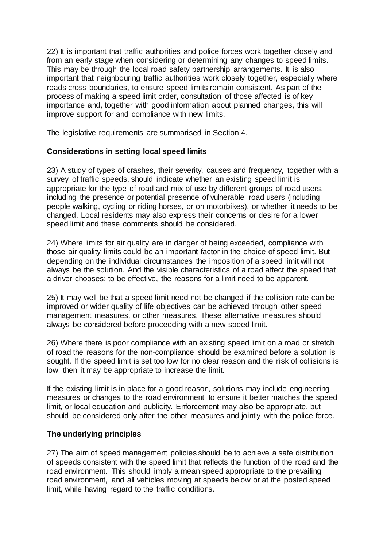22) It is important that traffic authorities and police forces work together closely and from an early stage when considering or determining any changes to speed limits. This may be through the local road safety partnership arrangements. It is also important that neighbouring traffic authorities work closely together, especially where roads cross boundaries, to ensure speed limits remain consistent. As part of the process of making a speed limit order, consultation of those affected is of key importance and, together with good information about planned changes, this will improve support for and compliance with new limits.

The legislative requirements are summarised in Section 4.

# **Considerations in setting local speed limits**

23) A study of types of crashes, their severity, causes and frequency, together with a survey of traffic speeds, should indicate whether an existing speed limit is appropriate for the type of road and mix of use by different groups of road users, including the presence or potential presence of vulnerable road users (including people walking, cycling or riding horses, or on motorbikes), or whether it needs to be changed. Local residents may also express their concerns or desire for a lower speed limit and these comments should be considered.

24) Where limits for air quality are in danger of being exceeded, compliance with those air quality limits could be an important factor in the choice of speed limit. But depending on the individual circumstances the imposition of a speed limit will not always be the solution. And the visible characteristics of a road affect the speed that a driver chooses: to be effective, the reasons for a limit need to be apparent.

25) It may well be that a speed limit need not be changed if the collision rate can be improved or wider quality of life objectives can be achieved through other speed management measures, or other measures. These alternative measures should always be considered before proceeding with a new speed limit.

26) Where there is poor compliance with an existing speed limit on a road or stretch of road the reasons for the non-compliance should be examined before a solution is sought. If the speed limit is set too low for no clear reason and the risk of collisions is low, then it may be appropriate to increase the limit.

If the existing limit is in place for a good reason, solutions may include engineering measures or changes to the road environment to ensure it better matches the speed limit, or local education and publicity. Enforcement may also be appropriate, but should be considered only after the other measures and jointly with the police force.

## **The underlying principles**

27) The aim of speed management policies should be to achieve a safe distribution of speeds consistent with the speed limit that reflects the function of the road and the road environment. This should imply a mean speed appropriate to the prevailing road environment, and all vehicles moving at speeds below or at the posted speed limit, while having regard to the traffic conditions.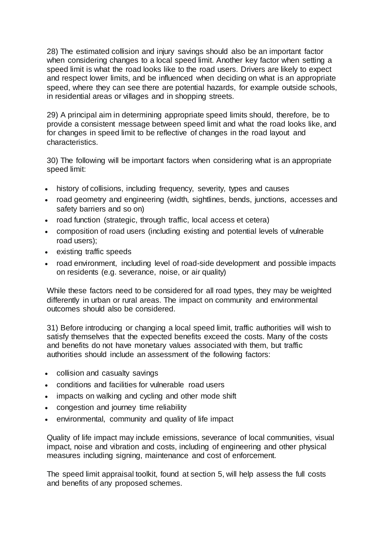28) The estimated collision and injury savings should also be an important factor when considering changes to a local speed limit. Another key factor when setting a speed limit is what the road looks like to the road users. Drivers are likely to expect and respect lower limits, and be influenced when deciding on what is an appropriate speed, where they can see there are potential hazards, for example outside schools, in residential areas or villages and in shopping streets.

29) A principal aim in determining appropriate speed limits should, therefore, be to provide a consistent message between speed limit and what the road looks like, and for changes in speed limit to be reflective of changes in the road layout and characteristics.

30) The following will be important factors when considering what is an appropriate speed limit:

- history of collisions, including frequency, severity, types and causes
- road geometry and engineering (width, sightlines, bends, junctions, accesses and safety barriers and so on)
- road function (strategic, through traffic, local access et cetera)
- composition of road users (including existing and potential levels of vulnerable road users);
- existing traffic speeds
- road environment, including level of road-side development and possible impacts on residents (e.g. severance, noise, or air quality)

While these factors need to be considered for all road types, they may be weighted differently in urban or rural areas. The impact on community and environmental outcomes should also be considered.

31) Before introducing or changing a local speed limit, traffic authorities will wish to satisfy themselves that the expected benefits exceed the costs. Many of the costs and benefits do not have monetary values associated with them, but traffic authorities should include an assessment of the following factors:

- collision and casualty savings
- conditions and facilities for vulnerable road users
- impacts on walking and cycling and other mode shift
- congestion and journey time reliability
- environmental, community and quality of life impact

Quality of life impact may include emissions, severance of local communities, visual impact, noise and vibration and costs, including of engineering and other physical measures including signing, maintenance and cost of enforcement.

The speed limit appraisal toolkit, found at section 5, will help assess the full costs and benefits of any proposed schemes.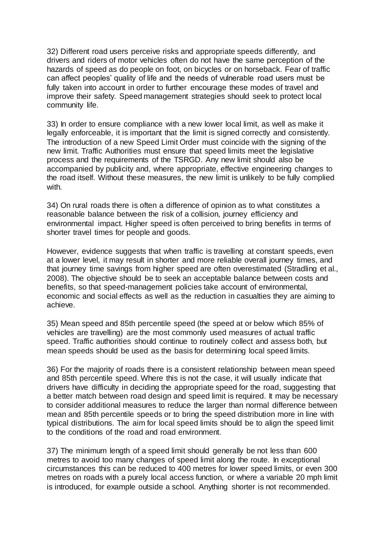32) Different road users perceive risks and appropriate speeds differently, and drivers and riders of motor vehicles often do not have the same perception of the hazards of speed as do people on foot, on bicycles or on horseback. Fear of traffic can affect peoples' quality of life and the needs of vulnerable road users must be fully taken into account in order to further encourage these modes of travel and improve their safety. Speed management strategies should seek to protect local community life.

33) In order to ensure compliance with a new lower local limit, as well as make it legally enforceable, it is important that the limit is signed correctly and consistently. The introduction of a new Speed Limit Order must coincide with the signing of the new limit. Traffic Authorities must ensure that speed limits meet the legislative process and the requirements of the TSRGD. Any new limit should also be accompanied by publicity and, where appropriate, effective engineering changes to the road itself. Without these measures, the new limit is unlikely to be fully complied with.

34) On rural roads there is often a difference of opinion as to what constitutes a reasonable balance between the risk of a collision, journey efficiency and environmental impact. Higher speed is often perceived to bring benefits in terms of shorter travel times for people and goods.

However, evidence suggests that when traffic is travelling at constant speeds, even at a lower level, it may result in shorter and more reliable overall journey times, and that journey time savings from higher speed are often overestimated (Stradling et al., 2008). The objective should be to seek an acceptable balance between costs and benefits, so that speed-management policies take account of environmental, economic and social effects as well as the reduction in casualties they are aiming to achieve.

35) Mean speed and 85th percentile speed (the speed at or below which 85% of vehicles are travelling) are the most commonly used measures of actual traffic speed. Traffic authorities should continue to routinely collect and assess both, but mean speeds should be used as the basis for determining local speed limits.

36) For the majority of roads there is a consistent relationship between mean speed and 85th percentile speed. Where this is not the case, it will usually indicate that drivers have difficulty in deciding the appropriate speed for the road, suggesting that a better match between road design and speed limit is required. It may be necessary to consider additional measures to reduce the larger than normal difference between mean and 85th percentile speeds or to bring the speed distribution more in line with typical distributions. The aim for local speed limits should be to align the speed limit to the conditions of the road and road environment.

37) The minimum length of a speed limit should generally be not less than 600 metres to avoid too many changes of speed limit along the route. In exceptional circumstances this can be reduced to 400 metres for lower speed limits, or even 300 metres on roads with a purely local access function, or where a variable 20 mph limit is introduced, for example outside a school. Anything shorter is not recommended.